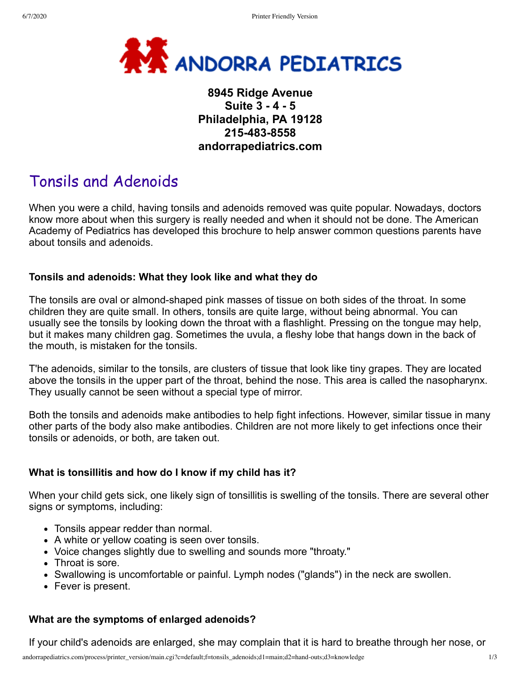

# **8945 Ridge Avenue Suite 3 - 4 - 5 Philadelphia, PA 19128 215-483-8558 andorrapediatrics.com**

# Tonsils and Adenoids

When you were a child, having tonsils and adenoids removed was quite popular. Nowadays, doctors know more about when this surgery is really needed and when it should not be done. The American Academy of Pediatrics has developed this brochure to help answer common questions parents have about tonsils and adenoids.

#### **Tonsils and adenoids: What they look like and what they do**

The tonsils are oval or almond-shaped pink masses of tissue on both sides of the throat. In some children they are quite small. In others, tonsils are quite large, without being abnormal. You can usually see the tonsils by looking down the throat with a flashlight. Pressing on the tongue may help, but it makes many children gag. Sometimes the uvula, a fleshy lobe that hangs down in the back of the mouth, is mistaken for the tonsils.

T'he adenoids, similar to the tonsils, are clusters of tissue that look like tiny grapes. They are located above the tonsils in the upper part of the throat, behind the nose. This area is called the nasopharynx. They usually cannot be seen without a special type of mirror.

Both the tonsils and adenoids make antibodies to help fight infections. However, similar tissue in many other parts of the body also make antibodies. Children are not more likely to get infections once their tonsils or adenoids, or both, are taken out.

#### **What is tonsillitis and how do I know if my child has it?**

When your child gets sick, one likely sign of tonsillitis is swelling of the tonsils. There are several other signs or symptoms, including:

- Tonsils appear redder than normal.
- A white or yellow coating is seen over tonsils.
- Voice changes slightly due to swelling and sounds more "throaty."
- Throat is sore.
- Swallowing is uncomfortable or painful. Lymph nodes ("glands") in the neck are swollen.
- Fever is present.

#### **What are the symptoms of enlarged adenoids?**

If your child's adenoids are enlarged, she may complain that it is hard to breathe through her nose, or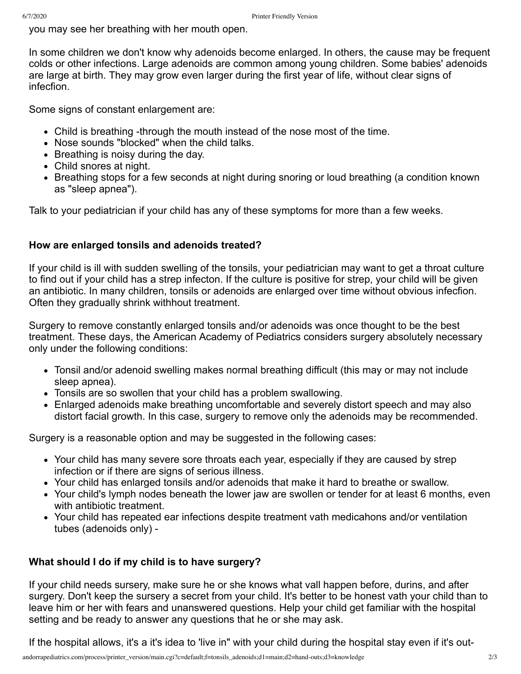you may see her breathing with her mouth open.

In some children we don't know why adenoids become enlarged. In others, the cause may be frequent colds or other infections. Large adenoids are common among young children. Some babies' adenoids are large at birth. They may grow even larger during the first year of life, without clear signs of infecfion.

Some signs of constant enlargement are:

- Child is breathing -through the mouth instead of the nose most of the time.
- Nose sounds "blocked" when the child talks.
- Breathing is noisy during the day.
- Child snores at night.
- Breathing stops for a few seconds at night during snoring or loud breathing (a condition known as "sleep apnea").

Talk to your pediatrician if your child has any of these symptoms for more than a few weeks.

### **How are enlarged tonsils and adenoids treated?**

If your child is ill with sudden swelling of the tonsils, your pediatrician may want to get a throat culture to find out if your child has a strep infecton. If the culture is positive for strep, your child will be given an antibiotic. In many children, tonsils or adenoids are enlarged over time without obvious infecfion. Often they gradually shrink withhout treatment.

Surgery to remove constantly enlarged tonsils and/or adenoids was once thought to be the best treatment. These days, the American Academy of Pediatrics considers surgery absolutely necessary only under the following conditions:

- Tonsil and/or adenoid swelling makes normal breathing difficult (this may or may not include sleep apnea).
- Tonsils are so swollen that your child has a problem swallowing.
- Enlarged adenoids make breathing uncomfortable and severely distort speech and may also distort facial growth. In this case, surgery to remove only the adenoids may be recommended.

Surgery is a reasonable option and may be suggested in the following cases:

- Your child has many severe sore throats each year, especially if they are caused by strep infection or if there are signs of serious illness.
- Your child has enlarged tonsils and/or adenoids that make it hard to breathe or swallow.
- Your child's lymph nodes beneath the lower jaw are swollen or tender for at least 6 months, even with antibiotic treatment.
- Your child has repeated ear infections despite treatment vath medicahons and/or ventilation tubes (adenoids only) -

## **What should I do if my child is to have surgery?**

If your child needs sursery, make sure he or she knows what vall happen before, durins, and after surgery. Don't keep the sursery a secret from your child. It's better to be honest vath your child than to leave him or her with fears and unanswered questions. Help your child get familiar with the hospital setting and be ready to answer any questions that he or she may ask.

If the hospital allows, it's a it's idea to 'live in" with your child during the hospital stay even if it's out-